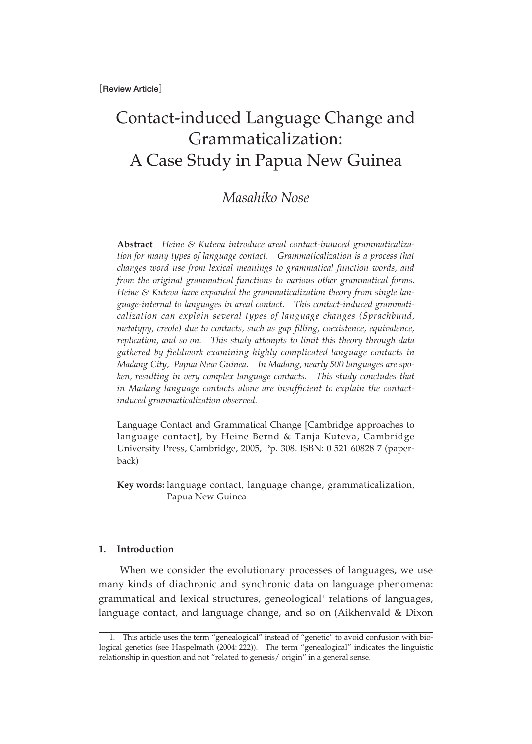**[Review Article]**

# Contact-induced Language Change and Grammaticalization: A Case Study in Papua New Guinea

## *Masahiko Nose*

**Abstract** *Heine & Kuteva introduce areal contact-induced grammaticalization for many types of language contact. Grammaticalization is a process that changes word use from lexical meanings to grammatical function words, and from the original grammatical functions to various other grammatical forms. Heine & Kuteva have expanded the grammaticalization theory from single language-internal to languages in areal contact. This contact-induced grammaticalization can explain several types of language changes (Sprachbund, metatypy, creole) due to contacts, such as gap filling, coexistence, equivalence, replication, and so on. This study attempts to limit this theory through data gathered by fieldwork examining highly complicated language contacts in Madang City, Papua New Guinea. In Madang, nearly 500 languages are spoken, resulting in very complex language contacts. This study concludes that in Madang language contacts alone are insufficient to explain the contactinduced grammaticalization observed.* 

Language Contact and Grammatical Change [Cambridge approaches to language contact], by Heine Bernd & Tanja Kuteva, Cambridge University Press, Cambridge, 2005, Pp. 308. ISBN: 0 521 60828 7 (paperback)

**Key words:** language contact, language change, grammaticalization, Papua New Guinea

#### **1. Introduction**

When we consider the evolutionary processes of languages, we use many kinds of diachronic and synchronic data on language phenomena: grammatical and lexical structures, geneological<sup>1</sup> relations of languages, language contact, and language change, and so on (Aikhenvald & Dixon

<sup>1.</sup> This article uses the term "genealogical" instead of "genetic" to avoid confusion with biological genetics (see Haspelmath (2004: 222)). The term "genealogical" indicates the linguistic relationship in question and not "related to genesis/ origin" in a general sense.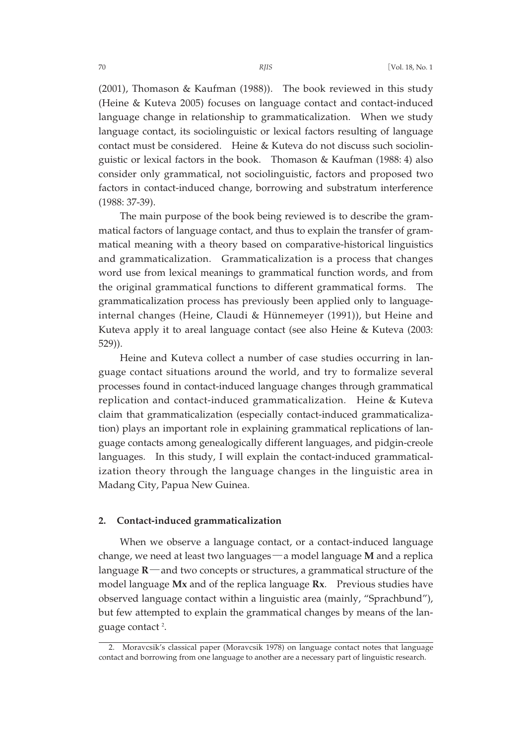(2001), Thomason & Kaufman (1988)). The book reviewed in this study (Heine & Kuteva 2005) focuses on language contact and contact-induced language change in relationship to grammaticalization. When we study language contact, its sociolinguistic or lexical factors resulting of language contact must be considered. Heine & Kuteva do not discuss such sociolinguistic or lexical factors in the book. Thomason & Kaufman (1988: 4) also consider only grammatical, not sociolinguistic, factors and proposed two factors in contact-induced change, borrowing and substratum interference (1988: 37-39).

The main purpose of the book being reviewed is to describe the grammatical factors of language contact, and thus to explain the transfer of grammatical meaning with a theory based on comparative-historical linguistics and grammaticalization. Grammaticalization is a process that changes word use from lexical meanings to grammatical function words, and from the original grammatical functions to different grammatical forms. The grammaticalization process has previously been applied only to languageinternal changes (Heine, Claudi & Hünnemeyer (1991)), but Heine and Kuteva apply it to areal language contact (see also Heine & Kuteva (2003: 529)).

Heine and Kuteva collect a number of case studies occurring in language contact situations around the world, and try to formalize several processes found in contact-induced language changes through grammatical replication and contact-induced grammaticalization. Heine & Kuteva claim that grammaticalization (especially contact-induced grammaticalization) plays an important role in explaining grammatical replications of language contacts among genealogically different languages, and pidgin-creole languages. In this study, I will explain the contact-induced grammaticalization theory through the language changes in the linguistic area in Madang City, Papua New Guinea.

#### **2. Contact-induced grammaticalization**

When we observe a language contact, or a contact-induced language change, we need at least two languages―a model language **M** and a replica language **R**―and two concepts or structures, a grammatical structure of the model language **Mx** and of the replica language **Rx**. Previous studies have observed language contact within a linguistic area (mainly, "Sprachbund"), but few attempted to explain the grammatical changes by means of the language contact<sup>2</sup>.

<sup>2.</sup> Moravcsik's classical paper (Moravcsik 1978) on language contact notes that language contact and borrowing from one language to another are a necessary part of linguistic research.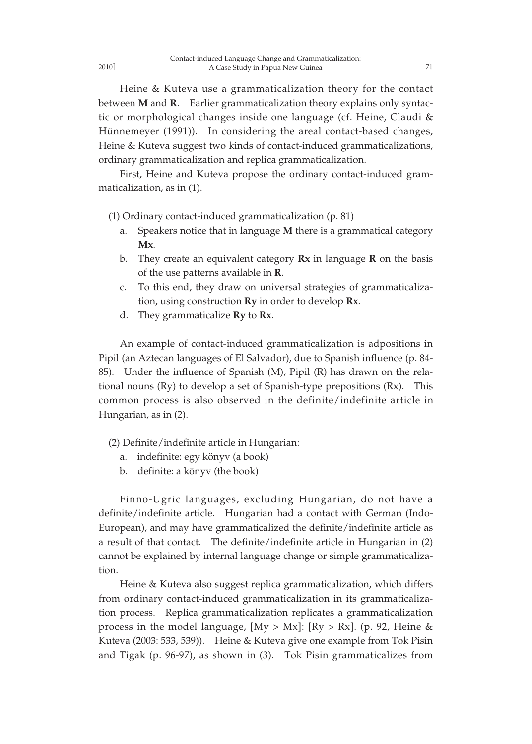Heine & Kuteva use a grammaticalization theory for the contact between **M** and **R**. Earlier grammaticalization theory explains only syntactic or morphological changes inside one language (cf. Heine, Claudi & Hünnemeyer (1991)). In considering the areal contact-based changes, Heine & Kuteva suggest two kinds of contact-induced grammaticalizations, ordinary grammaticalization and replica grammaticalization.

First, Heine and Kuteva propose the ordinary contact-induced grammaticalization, as in (1).

(1) Ordinary contact-induced grammaticalization (p. 81)

- a. Speakers notice that in language **M** there is a grammatical category **Mx**.
- b. They create an equivalent category **Rx** in language **R** on the basis of the use patterns available in **R**.
- c. To this end, they draw on universal strategies of grammaticalization, using construction **Ry** in order to develop **Rx**.
- d. They grammaticalize **Ry** to **Rx**.

An example of contact-induced grammaticalization is adpositions in Pipil (an Aztecan languages of El Salvador), due to Spanish influence (p. 84- 85). Under the influence of Spanish (M), Pipil (R) has drawn on the relational nouns (Ry) to develop a set of Spanish-type prepositions (Rx). This common process is also observed in the definite/indefinite article in Hungarian, as in (2).

- (2) Definite/indefinite article in Hungarian:
	- a. indefinite: egy könyv (a book)
	- b. definite: a könyv (the book)

Finno-Ugric languages, excluding Hungarian, do not have a definite/indefinite article. Hungarian had a contact with German (Indo-European), and may have grammaticalized the definite/indefinite article as a result of that contact. The definite/indefinite article in Hungarian in (2) cannot be explained by internal language change or simple grammaticalization.

Heine & Kuteva also suggest replica grammaticalization, which differs from ordinary contact-induced grammaticalization in its grammaticalization process. Replica grammaticalization replicates a grammaticalization process in the model language,  $[My > Mx]$ :  $[Ry > Rx]$ . (p. 92, Heine & Kuteva (2003: 533, 539)). Heine & Kuteva give one example from Tok Pisin and Tigak (p. 96-97), as shown in (3). Tok Pisin grammaticalizes from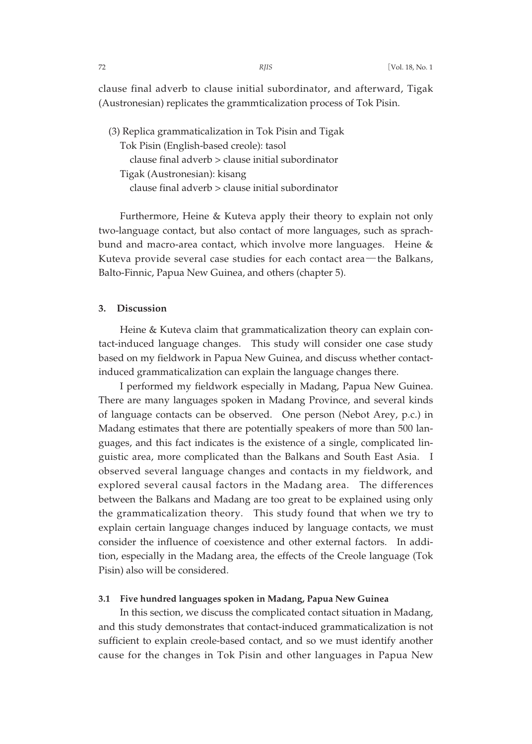clause final adverb to clause initial subordinator, and afterward, Tigak (Austronesian) replicates the grammticalization process of Tok Pisin.

(3) Replica grammaticalization in Tok Pisin and Tigak Tok Pisin (English-based creole): tasol clause final adverb > clause initial subordinator Tigak (Austronesian): kisang clause final adverb > clause initial subordinator

Furthermore, Heine & Kuteva apply their theory to explain not only two-language contact, but also contact of more languages, such as sprachbund and macro-area contact, which involve more languages. Heine & Kuteva provide several case studies for each contact area―the Balkans, Balto-Finnic, Papua New Guinea, and others (chapter 5).

### **3. Discussion**

Heine & Kuteva claim that grammaticalization theory can explain contact-induced language changes. This study will consider one case study based on my fieldwork in Papua New Guinea, and discuss whether contactinduced grammaticalization can explain the language changes there.

I performed my fieldwork especially in Madang, Papua New Guinea. There are many languages spoken in Madang Province, and several kinds of language contacts can be observed. One person (Nebot Arey, p.c.) in Madang estimates that there are potentially speakers of more than 500 languages, and this fact indicates is the existence of a single, complicated linguistic area, more complicated than the Balkans and South East Asia. I observed several language changes and contacts in my fieldwork, and explored several causal factors in the Madang area. The differences between the Balkans and Madang are too great to be explained using only the grammaticalization theory. This study found that when we try to explain certain language changes induced by language contacts, we must consider the influence of coexistence and other external factors. In addition, especially in the Madang area, the effects of the Creole language (Tok Pisin) also will be considered.

#### **3.1 Five hundred languages spoken in Madang, Papua New Guinea**

In this section, we discuss the complicated contact situation in Madang, and this study demonstrates that contact-induced grammaticalization is not sufficient to explain creole-based contact, and so we must identify another cause for the changes in Tok Pisin and other languages in Papua New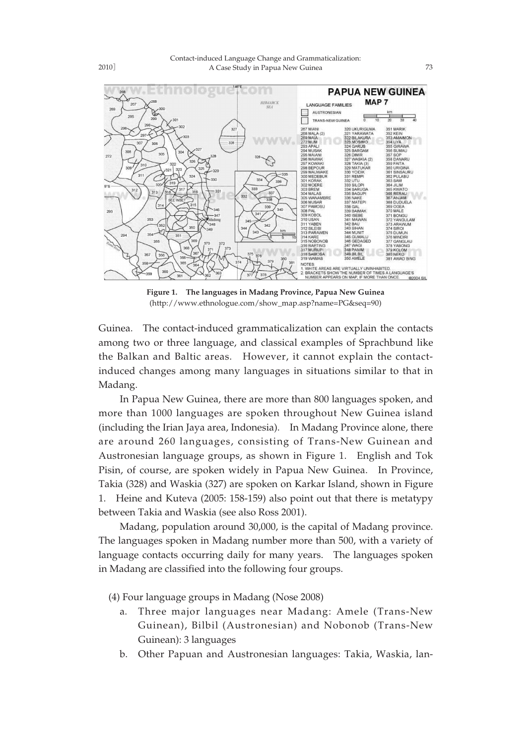

**Figure 1. The languages in Madang Province, Papua New Guinea** (http://www.ethnologue.com/show\_map.asp?name=PG&seq=90)

Guinea. The contact-induced grammaticalization can explain the contacts among two or three language, and classical examples of Sprachbund like the Balkan and Baltic areas. However, it cannot explain the contactinduced changes among many languages in situations similar to that in Madang.

In Papua New Guinea, there are more than 800 languages spoken, and more than 1000 languages are spoken throughout New Guinea island (including the Irian Jaya area, Indonesia). In Madang Province alone, there are around 260 languages, consisting of Trans-New Guinean and Austronesian language groups, as shown in Figure 1. English and Tok Pisin, of course, are spoken widely in Papua New Guinea. In Province, Takia (328) and Waskia (327) are spoken on Karkar Island, shown in Figure 1. Heine and Kuteva (2005: 158-159) also point out that there is metatypy between Takia and Waskia (see also Ross 2001).

Madang, population around 30,000, is the capital of Madang province. The languages spoken in Madang number more than 500, with a variety of language contacts occurring daily for many years. The languages spoken in Madang are classified into the following four groups.

(4) Four language groups in Madang (Nose 2008)

- a. Three major languages near Madang: Amele (Trans-New Guinean), Bilbil (Austronesian) and Nobonob (Trans-New Guinean): 3 languages
- b. Other Papuan and Austronesian languages: Takia, Waskia, lan-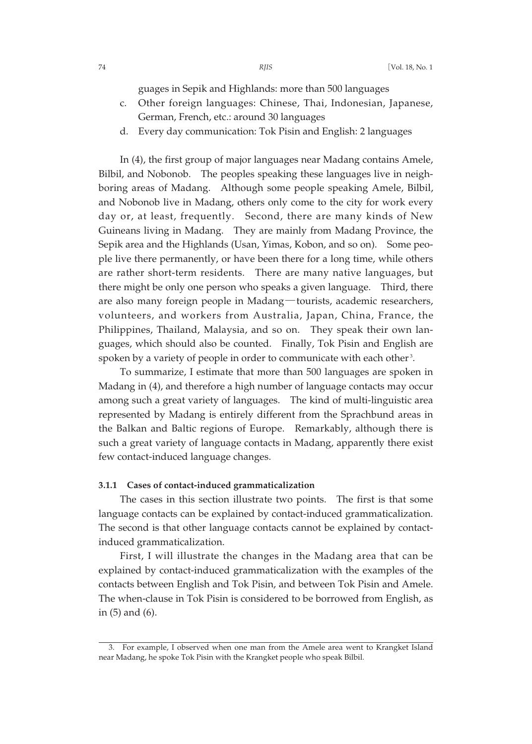guages in Sepik and Highlands: more than 500 languages

- c. Other foreign languages: Chinese, Thai, Indonesian, Japanese, German, French, etc.: around 30 languages
- d. Every day communication: Tok Pisin and English: 2 languages

In (4), the first group of major languages near Madang contains Amele, Bilbil, and Nobonob. The peoples speaking these languages live in neighboring areas of Madang. Although some people speaking Amele, Bilbil, and Nobonob live in Madang, others only come to the city for work every day or, at least, frequently. Second, there are many kinds of New Guineans living in Madang. They are mainly from Madang Province, the Sepik area and the Highlands (Usan, Yimas, Kobon, and so on). Some people live there permanently, or have been there for a long time, while others are rather short-term residents. There are many native languages, but there might be only one person who speaks a given language. Third, there are also many foreign people in Madang―tourists, academic researchers, volunteers, and workers from Australia, Japan, China, France, the Philippines, Thailand, Malaysia, and so on. They speak their own languages, which should also be counted. Finally, Tok Pisin and English are spoken by a variety of people in order to communicate with each other <sup>3</sup> .

To summarize, I estimate that more than 500 languages are spoken in Madang in (4), and therefore a high number of language contacts may occur among such a great variety of languages. The kind of multi-linguistic area represented by Madang is entirely different from the Sprachbund areas in the Balkan and Baltic regions of Europe. Remarkably, although there is such a great variety of language contacts in Madang, apparently there exist few contact-induced language changes.

#### **3.1.1 Cases of contact-induced grammaticalization**

The cases in this section illustrate two points. The first is that some language contacts can be explained by contact-induced grammaticalization. The second is that other language contacts cannot be explained by contactinduced grammaticalization.

First, I will illustrate the changes in the Madang area that can be explained by contact-induced grammaticalization with the examples of the contacts between English and Tok Pisin, and between Tok Pisin and Amele. The when-clause in Tok Pisin is considered to be borrowed from English, as in (5) and (6).

<sup>3.</sup> For example, I observed when one man from the Amele area went to Krangket Island near Madang, he spoke Tok Pisin with the Krangket people who speak Bilbil.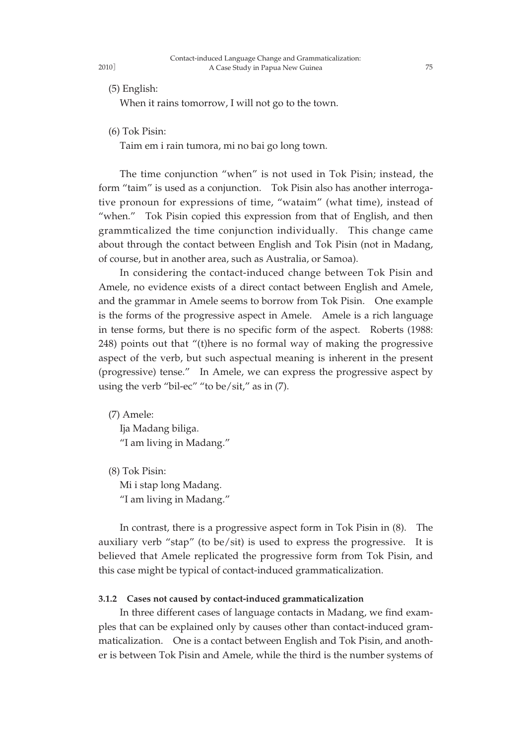(5) English:

2010]

When it rains tomorrow, I will not go to the town.

(6) Tok Pisin:

Taim em i rain tumora, mi no bai go long town.

The time conjunction "when" is not used in Tok Pisin; instead, the form "taim" is used as a conjunction. Tok Pisin also has another interrogative pronoun for expressions of time, "wataim" (what time), instead of "when." Tok Pisin copied this expression from that of English, and then grammticalized the time conjunction individually. This change came about through the contact between English and Tok Pisin (not in Madang, of course, but in another area, such as Australia, or Samoa).

In considering the contact-induced change between Tok Pisin and Amele, no evidence exists of a direct contact between English and Amele, and the grammar in Amele seems to borrow from Tok Pisin. One example is the forms of the progressive aspect in Amele. Amele is a rich language in tense forms, but there is no specific form of the aspect. Roberts (1988: 248) points out that "(t)here is no formal way of making the progressive aspect of the verb, but such aspectual meaning is inherent in the present (progressive) tense." In Amele, we can express the progressive aspect by using the verb "bil-ec" "to be/sit," as in (7).

(7) Amele: Ija Madang biliga. "I am living in Madang."

(8) Tok Pisin: Mi i stap long Madang. "I am living in Madang."

In contrast, there is a progressive aspect form in Tok Pisin in (8). The auxiliary verb "stap" (to be/sit) is used to express the progressive. It is believed that Amele replicated the progressive form from Tok Pisin, and this case might be typical of contact-induced grammaticalization.

#### **3.1.2 Cases not caused by contact-induced grammaticalization**

In three different cases of language contacts in Madang, we find examples that can be explained only by causes other than contact-induced grammaticalization. One is a contact between English and Tok Pisin, and another is between Tok Pisin and Amele, while the third is the number systems of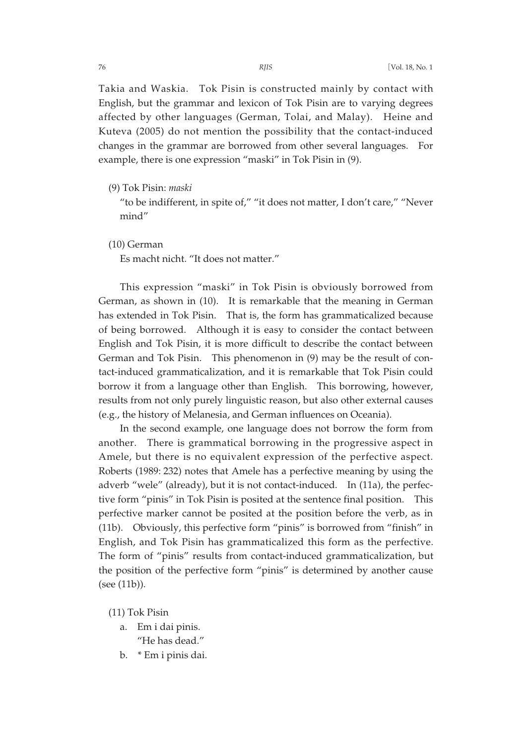Takia and Waskia. Tok Pisin is constructed mainly by contact with English, but the grammar and lexicon of Tok Pisin are to varying degrees affected by other languages (German, Tolai, and Malay). Heine and Kuteva (2005) do not mention the possibility that the contact-induced changes in the grammar are borrowed from other several languages. For example, there is one expression "maski" in Tok Pisin in (9).

(9) Tok Pisin: *maski*

"to be indifferent, in spite of," "it does not matter, I don't care," "Never mind"

(10) German

Es macht nicht. "It does not matter."

This expression "maski" in Tok Pisin is obviously borrowed from German, as shown in (10). It is remarkable that the meaning in German has extended in Tok Pisin. That is, the form has grammaticalized because of being borrowed. Although it is easy to consider the contact between English and Tok Pisin, it is more difficult to describe the contact between German and Tok Pisin. This phenomenon in (9) may be the result of contact-induced grammaticalization, and it is remarkable that Tok Pisin could borrow it from a language other than English. This borrowing, however, results from not only purely linguistic reason, but also other external causes (e.g., the history of Melanesia, and German influences on Oceania).

In the second example, one language does not borrow the form from another. There is grammatical borrowing in the progressive aspect in Amele, but there is no equivalent expression of the perfective aspect. Roberts (1989: 232) notes that Amele has a perfective meaning by using the adverb "wele" (already), but it is not contact-induced. In (11a), the perfective form "pinis" in Tok Pisin is posited at the sentence final position. This perfective marker cannot be posited at the position before the verb, as in (11b). Obviously, this perfective form "pinis" is borrowed from "finish" in English, and Tok Pisin has grammaticalized this form as the perfective. The form of "pinis" results from contact-induced grammaticalization, but the position of the perfective form "pinis" is determined by another cause (see (11b)).

(11) Tok Pisin

- a. Em i dai pinis. "He has dead."
- b. \* Em i pinis dai.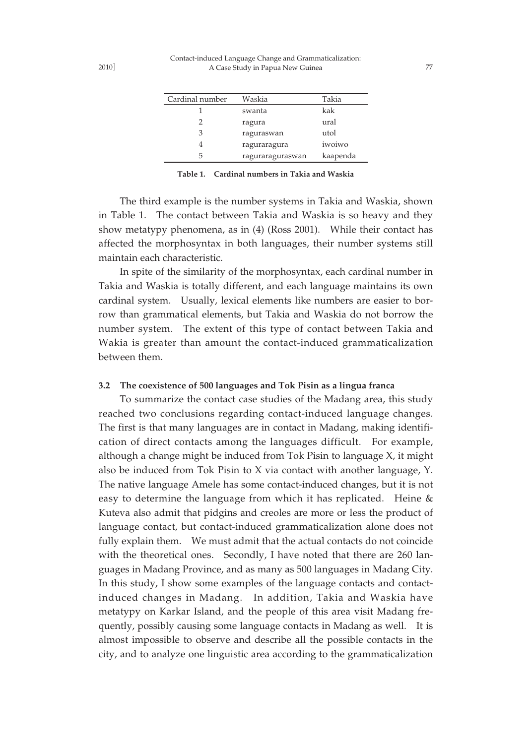| Cardinal number | Waskia           | Takia    |
|-----------------|------------------|----------|
|                 | swanta           | kak      |
| 2               | ragura           | ural     |
| 3               | raguraswan       | utol     |
|                 | raguraragura     | iwoiwo   |
| 5               | raguraraguraswan | kaapenda |

**Table 1. Cardinal numbers in Takia and Waskia**

The third example is the number systems in Takia and Waskia, shown in Table 1. The contact between Takia and Waskia is so heavy and they show metatypy phenomena, as in (4) (Ross 2001). While their contact has affected the morphosyntax in both languages, their number systems still maintain each characteristic.

In spite of the similarity of the morphosyntax, each cardinal number in Takia and Waskia is totally different, and each language maintains its own cardinal system. Usually, lexical elements like numbers are easier to borrow than grammatical elements, but Takia and Waskia do not borrow the number system. The extent of this type of contact between Takia and Wakia is greater than amount the contact-induced grammaticalization between them.

#### **3.2 The coexistence of 500 languages and Tok Pisin as a lingua franca**

To summarize the contact case studies of the Madang area, this study reached two conclusions regarding contact-induced language changes. The first is that many languages are in contact in Madang, making identification of direct contacts among the languages difficult. For example, although a change might be induced from Tok Pisin to language X, it might also be induced from Tok Pisin to X via contact with another language, Y. The native language Amele has some contact-induced changes, but it is not easy to determine the language from which it has replicated. Heine & Kuteva also admit that pidgins and creoles are more or less the product of language contact, but contact-induced grammaticalization alone does not fully explain them. We must admit that the actual contacts do not coincide with the theoretical ones. Secondly, I have noted that there are 260 languages in Madang Province, and as many as 500 languages in Madang City. In this study, I show some examples of the language contacts and contactinduced changes in Madang. In addition, Takia and Waskia have metatypy on Karkar Island, and the people of this area visit Madang frequently, possibly causing some language contacts in Madang as well. It is almost impossible to observe and describe all the possible contacts in the city, and to analyze one linguistic area according to the grammaticalization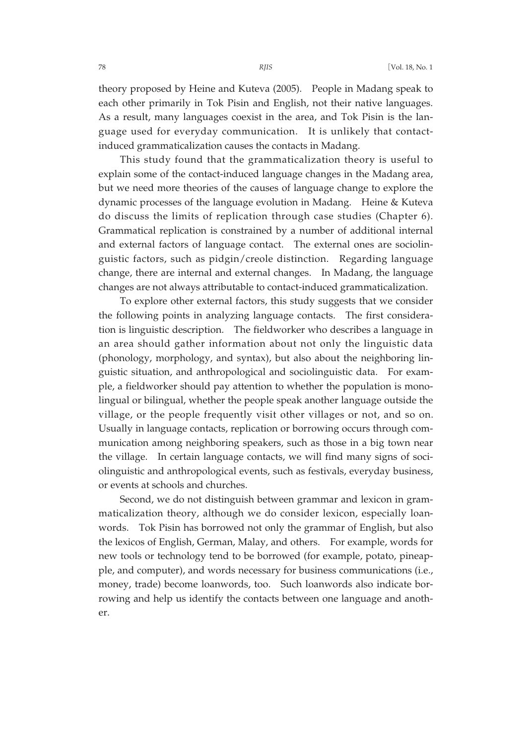theory proposed by Heine and Kuteva (2005). People in Madang speak to each other primarily in Tok Pisin and English, not their native languages. As a result, many languages coexist in the area, and Tok Pisin is the language used for everyday communication. It is unlikely that contactinduced grammaticalization causes the contacts in Madang.

This study found that the grammaticalization theory is useful to explain some of the contact-induced language changes in the Madang area, but we need more theories of the causes of language change to explore the dynamic processes of the language evolution in Madang. Heine & Kuteva do discuss the limits of replication through case studies (Chapter 6). Grammatical replication is constrained by a number of additional internal and external factors of language contact. The external ones are sociolinguistic factors, such as pidgin/creole distinction. Regarding language change, there are internal and external changes. In Madang, the language changes are not always attributable to contact-induced grammaticalization.

To explore other external factors, this study suggests that we consider the following points in analyzing language contacts. The first consideration is linguistic description. The fieldworker who describes a language in an area should gather information about not only the linguistic data (phonology, morphology, and syntax), but also about the neighboring linguistic situation, and anthropological and sociolinguistic data. For example, a fieldworker should pay attention to whether the population is monolingual or bilingual, whether the people speak another language outside the village, or the people frequently visit other villages or not, and so on. Usually in language contacts, replication or borrowing occurs through communication among neighboring speakers, such as those in a big town near the village. In certain language contacts, we will find many signs of sociolinguistic and anthropological events, such as festivals, everyday business, or events at schools and churches.

Second, we do not distinguish between grammar and lexicon in grammaticalization theory, although we do consider lexicon, especially loanwords. Tok Pisin has borrowed not only the grammar of English, but also the lexicos of English, German, Malay, and others. For example, words for new tools or technology tend to be borrowed (for example, potato, pineapple, and computer), and words necessary for business communications (i.e., money, trade) become loanwords, too. Such loanwords also indicate borrowing and help us identify the contacts between one language and another.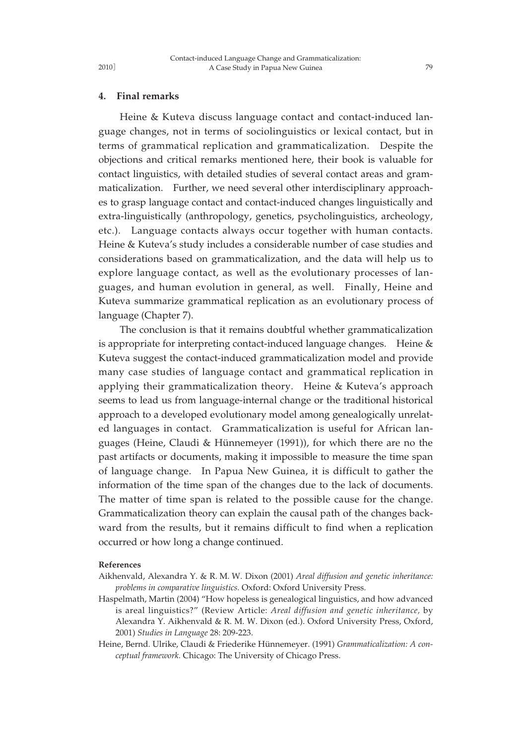#### **4. Final remarks**

Heine & Kuteva discuss language contact and contact-induced language changes, not in terms of sociolinguistics or lexical contact, but in terms of grammatical replication and grammaticalization. Despite the objections and critical remarks mentioned here, their book is valuable for contact linguistics, with detailed studies of several contact areas and grammaticalization. Further, we need several other interdisciplinary approaches to grasp language contact and contact-induced changes linguistically and extra-linguistically (anthropology, genetics, psycholinguistics, archeology, etc.). Language contacts always occur together with human contacts. Heine & Kuteva's study includes a considerable number of case studies and considerations based on grammaticalization, and the data will help us to explore language contact, as well as the evolutionary processes of languages, and human evolution in general, as well. Finally, Heine and Kuteva summarize grammatical replication as an evolutionary process of language (Chapter 7).

The conclusion is that it remains doubtful whether grammaticalization is appropriate for interpreting contact-induced language changes. Heine  $&$ Kuteva suggest the contact-induced grammaticalization model and provide many case studies of language contact and grammatical replication in applying their grammaticalization theory. Heine & Kuteva's approach seems to lead us from language-internal change or the traditional historical approach to a developed evolutionary model among genealogically unrelated languages in contact. Grammaticalization is useful for African languages (Heine, Claudi & Hünnemeyer (1991)), for which there are no the past artifacts or documents, making it impossible to measure the time span of language change. In Papua New Guinea, it is difficult to gather the information of the time span of the changes due to the lack of documents. The matter of time span is related to the possible cause for the change. Grammaticalization theory can explain the causal path of the changes backward from the results, but it remains difficult to find when a replication occurred or how long a change continued.

#### **References**

- Aikhenvald, Alexandra Y. & R. M. W. Dixon (2001) *Areal diffusion and genetic inheritance: problems in comparative linguistics.* Oxford: Oxford University Press.
- Haspelmath, Martin (2004) "How hopeless is genealogical linguistics, and how advanced is areal linguistics?" (Review Article: *Areal diffusion and genetic inheritance,* by Alexandra Y. Aikhenvald & R. M. W. Dixon (ed.). Oxford University Press, Oxford, 2001) *Studies in Language* 28: 209-223.
- Heine, Bernd. Ulrike, Claudi & Friederike Hünnemeyer. (1991) *Grammaticalization: A conceptual framework.* Chicago: The University of Chicago Press.